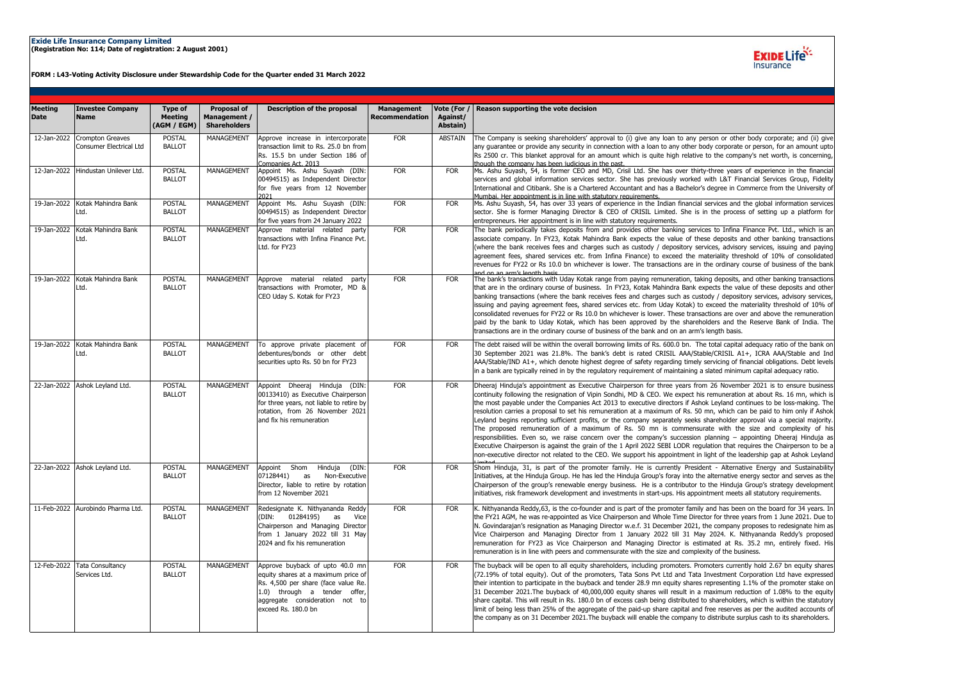## **Exide Life Insurance Company Limited (Registration No: 114; Date of registration: 2 August 2001)**

**FORM : L43-Voting Activity Disclosure under Stewardship Code for the Quarter ended 31 March 2022**



| <b>Meeting</b><br><b>Date</b> | <b>Investee Company</b><br><b>Name</b>                    | <b>Type of</b><br><b>Meeting</b><br>(AGM / EGM) | <b>Proposal of</b><br>Management /<br><b>Shareholders</b> | <b>Description of the proposal</b>                                                                                                                                                                     | <b>Management</b><br><b>Recommendation</b> | Vote (For /<br>Against/<br>Abstain) | Reason supporting the vote decision                                                                                                                                                                                                                                                                                                                                                                                                                                                                                                                                                                                                                                                                                                                                                                                                                                                                                                                                                                                                                                                                                        |
|-------------------------------|-----------------------------------------------------------|-------------------------------------------------|-----------------------------------------------------------|--------------------------------------------------------------------------------------------------------------------------------------------------------------------------------------------------------|--------------------------------------------|-------------------------------------|----------------------------------------------------------------------------------------------------------------------------------------------------------------------------------------------------------------------------------------------------------------------------------------------------------------------------------------------------------------------------------------------------------------------------------------------------------------------------------------------------------------------------------------------------------------------------------------------------------------------------------------------------------------------------------------------------------------------------------------------------------------------------------------------------------------------------------------------------------------------------------------------------------------------------------------------------------------------------------------------------------------------------------------------------------------------------------------------------------------------------|
| 12-Jan-2022                   | <b>Crompton Greaves</b><br><b>Consumer Electrical Ltd</b> | <b>POSTAL</b><br><b>BALLOT</b>                  | MANAGEMENT                                                | Approve increase in intercorporate<br>transaction limit to Rs. 25.0 bn from<br>Rs. 15.5 bn under Section 186 of<br>Companies Act. 2013                                                                 | <b>FOR</b>                                 | <b>ABSTAIN</b>                      | The Company is seeking shareholders' approval to (i) give any loan to any person or other body corporate; and (ii) give<br>any guarantee or provide any security in connection with a loan to any other body corporate or person, for an amount upto<br>Rs 2500 cr. This blanket approval for an amount which is quite high relative to the company's net worth, is concerning,<br>though the company has been judicious in the past.                                                                                                                                                                                                                                                                                                                                                                                                                                                                                                                                                                                                                                                                                      |
|                               | 12-Jan-2022 Hindustan Unilever Ltd.                       | <b>POSTAL</b><br><b>BALLOT</b>                  | MANAGEMENT                                                | Appoint Ms. Ashu Suyash (DIN:<br>00494515) as Independent Director<br>for five years from 12 November<br>2021                                                                                          | <b>FOR</b>                                 | <b>FOR</b>                          | Ms. Ashu Suyash, 54, is former CEO and MD, Crisil Ltd. She has over thirty-three years of experience in the financial<br>services and global information services sector. She has previously worked with L&T Financial Services Group, Fidelity<br>International and Citibank. She is a Chartered Accountant and has a Bachelor's degree in Commerce from the University of<br>Mumbai. Her appointment is in line with statutory requirements.                                                                                                                                                                                                                                                                                                                                                                                                                                                                                                                                                                                                                                                                             |
|                               | 19-Jan-2022 Kotak Mahindra Bank<br>Ltd.                   | <b>POSTAL</b><br><b>BALLOT</b>                  | MANAGEMENT                                                | Appoint Ms. Ashu Suyash (DIN:<br>00494515) as Independent Director<br>for five years from 24 January 2022                                                                                              | <b>FOR</b>                                 | <b>FOR</b>                          | Ms. Ashu Suyash, 54, has over 33 years of experience in the Indian financial services and the global information services<br>sector. She is former Managing Director & CEO of CRISIL Limited. She is in the process of setting up a platform for<br>entrepreneurs. Her appointment is in line with statutory requirements.                                                                                                                                                                                                                                                                                                                                                                                                                                                                                                                                                                                                                                                                                                                                                                                                 |
| 19-Jan-2022                   | Kotak Mahindra Bank<br>Ltd.                               | <b>POSTAL</b><br><b>BALLOT</b>                  | MANAGEMENT                                                | Approve material related party<br>transactions with Infina Finance Pvt.<br>Ltd. for FY23                                                                                                               | <b>FOR</b>                                 | <b>FOR</b>                          | The bank periodically takes deposits from and provides other banking services to Infina Finance Pvt. Ltd., which is an<br>associate company. In FY23, Kotak Mahindra Bank expects the value of these deposits and other banking transactions<br>(where the bank receives fees and charges such as custody / depository services, advisory services, issuing and paying<br>agreement fees, shared services etc. from Infina Finance) to exceed the materiality threshold of 10% of consolidated<br>revenues for FY22 or Rs 10.0 bn whichever is lower. The transactions are in the ordinary course of business of the bank<br><u>and on an arm's longth hasis</u>                                                                                                                                                                                                                                                                                                                                                                                                                                                           |
|                               | 19-Jan-2022 Kotak Mahindra Bank<br>Ltd.                   | <b>POSTAL</b><br><b>BALLOT</b>                  | MANAGEMENT                                                | Approve material<br>related<br>party<br>transactions with Promoter, MD &<br>CEO Uday S. Kotak for FY23                                                                                                 | <b>FOR</b>                                 | <b>FOR</b>                          | The bank's transactions with Uday Kotak range from paying remuneration, taking deposits, and other banking transactions<br>that are in the ordinary course of business. In FY23, Kotak Mahindra Bank expects the value of these deposits and other<br>banking transactions (where the bank receives fees and charges such as custody / depository services, advisory services,<br>issuing and paying agreement fees, shared services etc. from Uday Kotak) to exceed the materiality threshold of 10% of<br>consolidated revenues for FY22 or Rs 10.0 bn whichever is lower. These transactions are over and above the remuneration<br>paid by the bank to Uday Kotak, which has been approved by the shareholders and the Reserve Bank of India. The<br>transactions are in the ordinary course of business of the bank and on an arm's length basis.                                                                                                                                                                                                                                                                     |
|                               | 19-Jan-2022 Kotak Mahindra Bank<br>Ltd.                   | <b>POSTAL</b><br><b>BALLOT</b>                  | MANAGEMENT                                                | To approve private placement of<br>debentures/bonds or other debt<br>securities upto Rs. 50 bn for FY23                                                                                                | <b>FOR</b>                                 | <b>FOR</b>                          | The debt raised will be within the overall borrowing limits of Rs. 600.0 bn. The total capital adequacy ratio of the bank on<br>30 September 2021 was 21.8%. The bank's debt is rated CRISIL AAA/Stable/CRISIL A1+, ICRA AAA/Stable and Ind<br>AAA/Stable/IND A1+, which denote highest degree of safety regarding timely servicing of financial obligations. Debt levels<br>in a bank are typically reined in by the regulatory requirement of maintaining a slated minimum capital adequacy ratio.                                                                                                                                                                                                                                                                                                                                                                                                                                                                                                                                                                                                                       |
|                               | 22-Jan-2022 Ashok Leyland Ltd.                            | <b>POSTAL</b><br><b>BALLOT</b>                  | MANAGEMENT                                                | Appoint Dheeraj Hinduja<br>(DIN:<br>00133410) as Executive Chairperson<br>for three years, not liable to retire by<br>rotation, from 26 November 2021<br>and fix his remuneration                      | <b>FOR</b>                                 | <b>FOR</b>                          | Dheeraj Hinduja's appointment as Executive Chairperson for three years from 26 November 2021 is to ensure business<br>continuity following the resignation of Vipin Sondhi, MD & CEO. We expect his remuneration at about Rs. 16 mn, which is<br>the most payable under the Companies Act 2013 to executive directors if Ashok Leyland continues to be loss-making. The<br>resolution carries a proposal to set his remuneration at a maximum of Rs. 50 mn, which can be paid to him only if Ashok<br>Leyland begins reporting sufficient profits, or the company separately seeks shareholder approval via a special majority.<br>The proposed remuneration of a maximum of Rs. 50 mn is commensurate with the size and complexity of his<br>responsibilities. Even so, we raise concern over the company's succession planning - appointing Dheeraj Hinduja as<br>Executive Chairperson is against the grain of the 1 April 2022 SEBI LODR regulation that reguires the Chairperson to be a<br>non-executive director not related to the CEO. We support his appointment in light of the leadership gap at Ashok Leyland |
|                               | 22-Jan-2022 Ashok Leyland Ltd.                            | <b>POSTAL</b><br><b>BALLOT</b>                  | MANAGEMENT                                                | Appoint Shom Hinduja<br>(DIN:<br>07128441)<br>as<br>Non-Executive<br>Director, liable to retire by rotation<br>from 12 November 2021                                                                   | <b>FOR</b>                                 | <b>FOR</b>                          | Shom Hinduja, 31, is part of the promoter family. He is currently President - Alternative Energy and Sustainability<br>Initiatives, at the Hinduja Group. He has led the Hinduja Group's foray into the alternative energy sector and serves as the<br>Chairperson of the group's renewable energy business. He is a contributor to the Hinduja Group's strategy development<br>initiatives, risk framework development and investments in start-ups. His appointment meets all statutory requirements.                                                                                                                                                                                                                                                                                                                                                                                                                                                                                                                                                                                                                    |
|                               | 11-Feb-2022 Aurobindo Pharma Ltd.                         | <b>POSTAL</b><br><b>BALLOT</b>                  | MANAGEMENT                                                | Redesignate K. Nithyananda Reddy<br>(DIN: 01284195)<br>as<br>Vice<br>Chairperson and Managing Director<br>from 1 January 2022 till 31 May<br>2024 and fix his remuneration                             | <b>FOR</b>                                 | <b>FOR</b>                          | K. Nithyananda Reddy, 63, is the co-founder and is part of the promoter family and has been on the board for 34 years. In<br>the FY21 AGM, he was re-appointed as Vice Chairperson and Whole Time Director for three years from 1 June 2021. Due to<br>N. Govindarajan's resignation as Managing Director w.e.f. 31 December 2021, the company proposes to redesignate him as<br>Vice Chairperson and Managing Director from 1 January 2022 till 31 May 2024. K. Nithyananda Reddy's proposed<br>remuneration for FY23 as Vice Chairperson and Managing Director is estimated at Rs. 35.2 mn, entirely fixed. His<br>remuneration is in line with peers and commensurate with the size and complexity of the business.                                                                                                                                                                                                                                                                                                                                                                                                     |
|                               | 12-Feb-2022 Tata Consultancy<br>Services Ltd.             | <b>POSTAL</b><br><b>BALLOT</b>                  | MANAGEMENT                                                | Approve buyback of upto 40.0 mn<br>equity shares at a maximum price of<br>Rs. 4,500 per share (face value Re.<br>1.0) through a tender offer,<br>aggregate consideration not to<br>exceed Rs. 180.0 bn | <b>FOR</b>                                 | <b>FOR</b>                          | The buyback will be open to all equity shareholders, including promoters. Promoters currently hold 2.67 bn equity shares<br>(72.19% of total equity). Out of the promoters, Tata Sons Pvt Ltd and Tata Investment Corporation Ltd have expressed<br>their intention to participate in the buyback and tender 28.9 mn equity shares representing 1.1% of the promoter stake on<br>31 December 2021. The buyback of 40,000,000 equity shares will result in a maximum reduction of 1.08% to the equity<br>share capital. This will result in Rs. 180.0 bn of excess cash being distributed to shareholders, which is within the statutory<br>limit of being less than 25% of the aggregate of the paid-up share capital and free reserves as per the audited accounts of<br>the company as on 31 December 2021. The buyback will enable the company to distribute surplus cash to its shareholders.                                                                                                                                                                                                                          |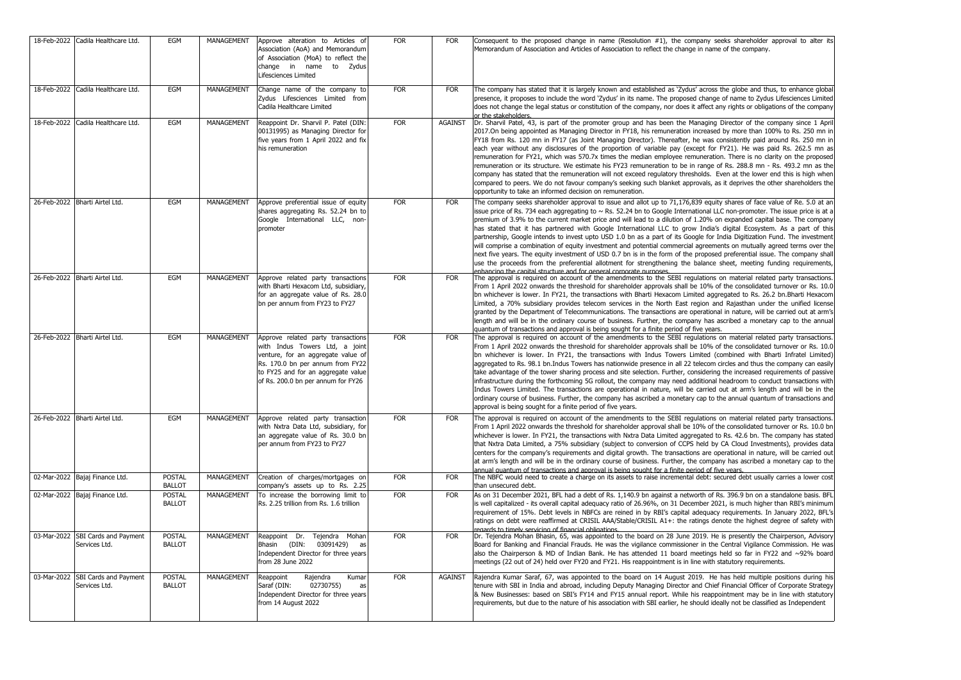| 18-Feb-2022 Cadila Healthcare Ltd.                 | EGM                            | MANAGEMENT        | Approve alteration to Articles of<br>Association (AoA) and Memorandum<br>of Association (MoA) to reflect the<br>change in name to Zydus<br>Lifesciences Limited                                                            | <b>FOR</b> | <b>FOR</b>     | Consequent to the proposed change in name (Resolution #1), the company seeks shareholder approval to alter its<br>Memorandum of Association and Articles of Association to reflect the change in name of the company.                                                                                                                                                                                                                                                                                                                                                                                                                                                                                                                                                                                                                                                                                                                                                                                                                                                                         |
|----------------------------------------------------|--------------------------------|-------------------|----------------------------------------------------------------------------------------------------------------------------------------------------------------------------------------------------------------------------|------------|----------------|-----------------------------------------------------------------------------------------------------------------------------------------------------------------------------------------------------------------------------------------------------------------------------------------------------------------------------------------------------------------------------------------------------------------------------------------------------------------------------------------------------------------------------------------------------------------------------------------------------------------------------------------------------------------------------------------------------------------------------------------------------------------------------------------------------------------------------------------------------------------------------------------------------------------------------------------------------------------------------------------------------------------------------------------------------------------------------------------------|
| 18-Feb-2022 Cadila Healthcare Ltd.                 | <b>EGM</b>                     | <b>MANAGEMENT</b> | Change name of the company to<br>Zydus Lifesciences Limited from<br>Cadila Healthcare Limited                                                                                                                              | <b>FOR</b> | <b>FOR</b>     | The company has stated that it is largely known and established as 'Zydus' across the globe and thus, to enhance global<br>presence, it proposes to include the word 'Zydus' in its name. The proposed change of name to Zydus Lifesciences Limited<br>does not change the legal status or constitution of the company, nor does it affect any rights or obligations of the company<br>or the stakeholders.                                                                                                                                                                                                                                                                                                                                                                                                                                                                                                                                                                                                                                                                                   |
| 18-Feb-2022 Cadila Healthcare Ltd.                 | EGM                            | MANAGEMENT        | Reappoint Dr. Sharvil P. Patel (DIN:<br>00131995) as Managing Director for<br>five years from 1 April 2022 and fix<br>his remuneration                                                                                     | <b>FOR</b> | <b>AGAINST</b> | Dr. Sharvil Patel, 43, is part of the promoter group and has been the Managing Director of the company since 1 April<br>2017.On being appointed as Managing Director in FY18, his remuneration increased by more than 100% to Rs. 250 mn in<br>FY18 from Rs. 120 mn in FY17 (as Joint Managing Director). Thereafter, he was consistently paid around Rs. 250 mn in<br>each year without any disclosures of the proportion of variable pay (except for FY21). He was paid Rs. 262.5 mn as<br>remuneration for FY21, which was 570.7x times the median employee remuneration. There is no clarity on the proposed<br>remuneration or its structure. We estimate his FY23 remuneration to be in range of Rs. 288.8 mn - Rs. 493.2 mn as the<br>company has stated that the remuneration will not exceed regulatory thresholds. Even at the lower end this is high when<br>compared to peers. We do not favour company's seeking such blanket approvals, as it deprives the other shareholders the<br>opportunity to take an informed decision on remuneration.                                  |
| 26-Feb-2022 Bharti Airtel Ltd.                     | EGM                            | MANAGEMENT        | Approve preferential issue of equity<br>shares aggregating Rs. 52.24 bn to<br>Google International LLC, non-<br>promoter                                                                                                   | <b>FOR</b> | <b>FOR</b>     | The company seeks shareholder approval to issue and allot up to 71,176,839 equity shares of face value of Re. 5.0 at an<br>issue price of Rs. 734 each aggregating to $\sim$ Rs. 52.24 bn to Google International LLC non-promoter. The issue price is at a<br>premium of 3.9% to the current market price and will lead to a dilution of 1.20% on expanded capital base. The company<br>has stated that it has partnered with Google International LLC to grow India's digital Ecosystem. As a part of this<br>partnership, Google intends to invest upto USD 1.0 bn as a part of its Google for India Digitization Fund. The investment<br>will comprise a combination of equity investment and potential commercial agreements on mutually agreed terms over the<br>next five years. The equity investment of USD 0.7 bn is in the form of the proposed preferential issue. The company shall<br>use the proceeds from the preferential allotment for strengthening the balance sheet, meeting funding requirements,<br>enhancing the canital structure and for general cornorate nurnoses |
| 26-Feb-2022 Bharti Airtel Ltd.                     | EGM                            | MANAGEMENT        | Approve related party transactions<br>with Bharti Hexacom Ltd, subsidiary,<br>for an aggregate value of Rs. 28.0<br>bn per annum from FY23 to FY27                                                                         | <b>FOR</b> | <b>FOR</b>     | The approval is required on account of the amendments to the SEBI requlations on material related party transactions.<br>From 1 April 2022 onwards the threshold for shareholder approvals shall be 10% of the consolidated turnover or Rs. 10.0<br>bn whichever is lower. In FY21, the transactions with Bharti Hexacom Limited aggregated to Rs. 26.2 bn.Bharti Hexacom<br>Limited, a 70% subsidiary provides telecom services in the North East region and Rajasthan under the unified license<br>granted by the Department of Telecommunications. The transactions are operational in nature, will be carried out at arm's<br>length and will be in the ordinary course of business. Further, the company has ascribed a monetary cap to the annual<br>quantum of transactions and approval is being sought for a finite period of five years.                                                                                                                                                                                                                                            |
| 26-Feb-2022 Bharti Airtel Ltd.                     | EGM                            | MANAGEMENT        | Approve related party transactions<br>with Indus Towers Ltd, a joint<br>venture, for an aggregate value of<br>Rs. 170.0 bn per annum from FY22<br>to FY25 and for an aggregate value<br>of Rs. 200.0 bn per annum for FY26 | <b>FOR</b> | <b>FOR</b>     | The approval is required on account of the amendments to the SEBI regulations on material related party transactions.<br>From 1 April 2022 onwards the threshold for shareholder approvals shall be 10% of the consolidated turnover or Rs. 10.0<br>bn whichever is lower. In FY21, the transactions with Indus Towers Limited (combined with Bharti Infratel Limited)<br>aggregated to Rs. 98.1 bn.Indus Towers has nationwide presence in all 22 telecom circles and thus the company can easily<br>take advantage of the tower sharing process and site selection. Further, considering the increased requirements of passive<br>infrastructure during the forthcoming 5G rollout, the company may need additional headroom to conduct transactions with<br>Indus Towers Limited. The transactions are operational in nature, will be carried out at arm's length and will be in the<br>ordinary course of business. Further, the company has ascribed a monetary cap to the annual quantum of transactions and<br>approval is being sought for a finite period of five years.             |
| 26-Feb-2022 Bharti Airtel Ltd.                     | <b>EGM</b>                     | <b>MANAGEMENT</b> | Approve related party transaction<br>with Nxtra Data Ltd, subsidiary, for<br>an aggregate value of Rs. 30.0 bn<br>per annum from FY23 to FY27                                                                              | FOR        | FOR            | The approval is required on account of the amendments to the SEBI regulations on material related party transactions.<br>From 1 April 2022 onwards the threshold for shareholder approval shall be 10% of the consolidated turnover or Rs. 10.0 bn<br>whichever is lower. In FY21, the transactions with Nxtra Data Limited aggregated to Rs. 42.6 bn. The company has stated<br>that Nxtra Data Limited, a 75% subsidiary (subject to conversion of CCPS held by CA Cloud Investments), provides data<br>centers for the company's requirements and digital growth. The transactions are operational in nature, will be carried out<br>at arm's length and will be in the ordinary course of business. Further, the company has ascribed a monetary cap to the<br>annual quantum of transactions and annroval is being sought for a finite period of five vears.                                                                                                                                                                                                                             |
| 02-Mar-2022 Bajaj Finance Ltd.                     | <b>POSTAL</b><br><b>BALLOT</b> | MANAGEMENT        | Creation of charges/mortgages on<br>company's assets up to Rs. 2.25                                                                                                                                                        | <b>FOR</b> | <b>FOR</b>     | The NBFC would need to create a charge on its assets to raise incremental debt: secured debt usually carries a lower cost<br>than unsecured debt.                                                                                                                                                                                                                                                                                                                                                                                                                                                                                                                                                                                                                                                                                                                                                                                                                                                                                                                                             |
| 02-Mar-2022 Bajaj Finance Ltd.                     | <b>POSTAL</b><br><b>BALLOT</b> | MANAGEMENT        | To increase the borrowing limit to<br>Rs. 2.25 trillion from Rs. 1.6 trillion                                                                                                                                              | <b>FOR</b> | <b>FOR</b>     | As on 31 December 2021, BFL had a debt of Rs. 1,140.9 bn against a networth of Rs. 396.9 bn on a standalone basis. BFL<br>is well capitalized - its overall capital adequacy ratio of 26.96%, on 31 December 2021, is much higher than RBI's minimum<br>requirement of 15%. Debt levels in NBFCs are reined in by RBI's capital adequacy requirements. In January 2022, BFL's<br>ratings on debt were reaffirmed at CRISIL AAA/Stable/CRISIL A1+: the ratings denote the highest degree of safety with<br>regards to timely servicing of financial obligations.                                                                                                                                                                                                                                                                                                                                                                                                                                                                                                                               |
| 03-Mar-2022 SBI Cards and Payment<br>Services Ltd. | <b>POSTAL</b><br><b>BALLOT</b> | MANAGEMENT        | Reappoint Dr. Tejendra Mohan<br>Bhasin (DIN: 03091429) as<br>Independent Director for three years<br>from 28 June 2022                                                                                                     | <b>FOR</b> | <b>FOR</b>     | Dr. Tejendra Mohan Bhasin, 65, was appointed to the board on 28 June 2019. He is presently the Chairperson, Advisory<br>Board for Banking and Financial Frauds. He was the vigilance commissioner in the Central Vigilance Commission. He was<br>also the Chairperson & MD of Indian Bank. He has attended 11 board meetings held so far in FY22 and ~92% board<br>meetings (22 out of 24) held over FY20 and FY21. His reappointment is in line with statutory requirements.                                                                                                                                                                                                                                                                                                                                                                                                                                                                                                                                                                                                                 |
| 03-Mar-2022 SBI Cards and Payment<br>Services Ltd. | <b>POSTAL</b><br><b>BALLOT</b> | MANAGEMENT        | Reappoint<br>Rajendra<br>Kumar<br>Saraf (DIN:<br>02730755)<br>as<br>Independent Director for three years<br>from 14 August 2022                                                                                            | <b>FOR</b> | <b>AGAINST</b> | Rajendra Kumar Saraf, 67, was appointed to the board on 14 August 2019. He has held multiple positions during his<br>tenure with SBI in India and abroad, including Deputy Managing Director and Chief Financial Officer of Corporate Strategy<br>& New Businesses: based on SBI's FY14 and FY15 annual report. While his reappointment may be in line with statutory<br>requirements, but due to the nature of his association with SBI earlier, he should ideally not be classified as Independent                                                                                                                                                                                                                                                                                                                                                                                                                                                                                                                                                                                          |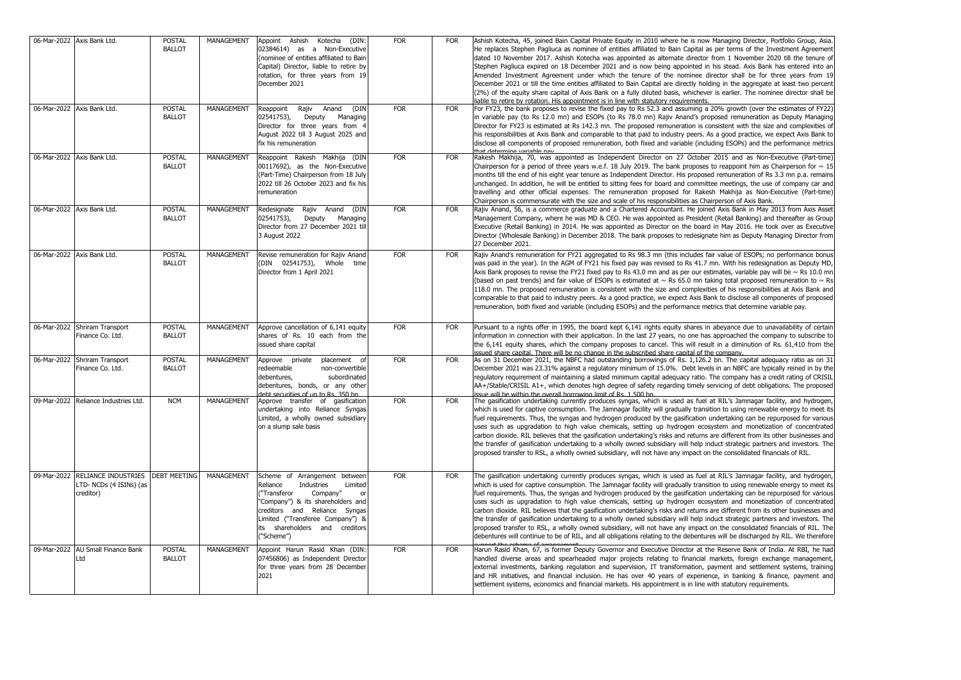| 06-Mar-2022 Axis Bank Ltd.                                              | <b>POSTAL</b><br><b>BALLOT</b> | MANAGEMENT        | Appoint Ashish Kotecha (DIN:<br>02384614) as a Non-Executive<br>(nominee of entities affiliated to Bain<br>Capital) Director, liable to retire by<br>rotation, for three years from 19<br>December 2021                                                 | <b>FOR</b> | <b>FOR</b> | Ashish Kotecha, 45, joined Bain Capital Private Equity in 2010 where he is now Managing Director, Portfolio Group, Asia<br>He replaces Stephen Pagliuca as nominee of entities affiliated to Bain Capital as per terms of the Investment Agreement<br>dated 10 November 2017. Ashish Kotecha was appointed as alternate director from 1 November 2020 till the tenure of<br>Stephen Pagliuca expired on 18 December 2021 and is now being appointed in his stead. Axis Bank has entered into an<br>Amended Investment Agreement under which the tenure of the nominee director shall be for three years from 19<br>December 2021 or till the time entities affiliated to Bain Capital are directly holding in the aggregate at least two percent<br>(2%) of the equity share capital of Axis Bank on a fully diluted basis, whichever is earlier. The nominee director shall be<br>liable to retire by rotation. His appointment is in line with statutory requirements.                                                              |
|-------------------------------------------------------------------------|--------------------------------|-------------------|---------------------------------------------------------------------------------------------------------------------------------------------------------------------------------------------------------------------------------------------------------|------------|------------|---------------------------------------------------------------------------------------------------------------------------------------------------------------------------------------------------------------------------------------------------------------------------------------------------------------------------------------------------------------------------------------------------------------------------------------------------------------------------------------------------------------------------------------------------------------------------------------------------------------------------------------------------------------------------------------------------------------------------------------------------------------------------------------------------------------------------------------------------------------------------------------------------------------------------------------------------------------------------------------------------------------------------------------|
| 06-Mar-2022 Axis Bank Ltd.                                              | <b>POSTAL</b><br><b>BALLOT</b> | MANAGEMENT        | (DIN<br>Reappoint<br>Rajiv<br>Anand<br>02541753),<br>Deputy<br>Managing<br>Director for three years from 4<br>August 2022 till 3 August 2025 and<br>fix his remuneration                                                                                | <b>FOR</b> | <b>FOR</b> | For FY23, the bank proposes to revise the fixed pay to Rs 52.3 and assuming a 20% growth (over the estimates of FY22)<br>in variable pay (to Rs 12.0 mn) and ESOPs (to Rs 78.0 mn) Rajiv Anand's proposed remuneration as Deputy Managing<br>Director for FY23 is estimated at Rs 142.3 mn. The proposed remuneration is consistent with the size and complexities of<br>his responsibilities at Axis Bank and comparable to that paid to industry peers. As a good practice, we expect Axis Bank to<br>disclose all components of proposed remuneration, both fixed and variable (including ESOPs) and the performance metrics<br>that determine variable nav                                                                                                                                                                                                                                                                                                                                                                        |
| 06-Mar-2022 Axis Bank Ltd.                                              | <b>POSTAL</b><br><b>BALLOT</b> | MANAGEMENT        | Reappoint Rakesh Makhija (DIN<br>00117692), as the Non-Executive<br>(Part-Time) Chairperson from 18 July<br>2022 till 26 October 2023 and fix his<br>remuneration                                                                                       | <b>FOR</b> | <b>FOR</b> | Rakesh Makhija, 70, was appointed as Independent Director on 27 October 2015 and as Non-Executive (Part-time)<br>Chairperson for a period of three years w.e.f. 18 July 2019. The bank proposes to reappoint him as Chairperson for $\sim$ 15<br>months till the end of his eight year tenure as Independent Director. His proposed remuneration of Rs 3.3 mn p.a. remains<br>unchanged. In addition, he will be entitled to sitting fees for board and committee meetings, the use of company car and<br>travelling and other official expenses. The remuneration proposed for Rakesh Makhija as Non-Executive (Part-time)<br>Chairperson is commensurate with the size and scale of his responsibilities as Chairperson of Axis Bank.                                                                                                                                                                                                                                                                                               |
| 06-Mar-2022 Axis Bank Ltd.                                              | <b>POSTAL</b><br><b>BALLOT</b> | MANAGEMENT        | Redesignate Rajiv Anand (DIN<br>02541753),<br>Deputy<br>Managing<br>Director from 27 December 2021 till<br>3 August 2022                                                                                                                                | <b>FOR</b> | FOR        | Rajiv Anand, 56, is a commerce graduate and a Chartered Accountant. He joined Axis Bank in May 2013 from Axis Asset<br>Management Company, where he was MD & CEO. He was appointed as President (Retail Banking) and thereafter as Group<br>Executive (Retail Banking) in 2014. He was appointed as Director on the board in May 2016. He took over as Executive<br>Director (Wholesale Banking) in December 2018. The bank proposes to redesignate him as Deputy Managing Director from<br>27 December 2021.                                                                                                                                                                                                                                                                                                                                                                                                                                                                                                                         |
| 06-Mar-2022 Axis Bank Ltd.                                              | <b>POSTAL</b><br><b>BALLOT</b> | MANAGEMENT        | Revise remuneration for Rajiv Anand<br>(DIN 02541753), Whole time<br>Director from 1 April 2021                                                                                                                                                         | <b>FOR</b> | FOR        | Rajiv Anand's remuneration for FY21 aggregated to Rs 98.3 mn (this includes fair value of ESOPs; no performance bonus<br>was paid in the year). In the AGM of FY21 his fixed pay was revised to Rs 41.7 mn. With his redesignation as Deputy MD,<br>Axis Bank proposes to revise the FY21 fixed pay to Rs 43.0 mn and as per our estimates, variable pay will be $\sim$ Rs 10.0 mn<br>(based on past trends) and fair value of ESOPs is estimated at $\sim$ Rs 65.0 mn taking total proposed remuneration to $\sim$ Rs<br>118.0 mn. The proposed remuneration is consistent with the size and complexities of his responsibilities at Axis Bank and<br>comparable to that paid to industry peers. As a good practice, we expect Axis Bank to disclose all components of proposed<br>remuneration, both fixed and variable (including ESOPs) and the performance metrics that determine variable pay.                                                                                                                                  |
| 06-Mar-2022 Shriram Transport<br>Finance Co. Ltd.                       | <b>POSTAL</b><br><b>BALLOT</b> | MANAGEMENT        | Approve cancellation of 6,141 equity<br>shares of Rs. 10 each from the<br>issued share capital                                                                                                                                                          | <b>FOR</b> | <b>FOR</b> | Pursuant to a rights offer in 1995, the board kept 6,141 rights equity shares in abeyance due to unavailability of certain<br>information in connection with their application. In the last 27 years, no one has approached the company to subscribe to<br>the 6.141 equity shares, which the company proposes to cancel. This will result in a diminution of Rs, 61.410 from the<br>issued share capital. There will be no change in the subscribed share capital of the company.                                                                                                                                                                                                                                                                                                                                                                                                                                                                                                                                                    |
| 06-Mar-2022 Shriram Transport<br>Finance Co. Ltd.                       | <b>POSTAL</b><br><b>BALLOT</b> | <b>MANAGEMENT</b> | Approve private<br>placement<br>of<br>redeemable<br>non-convertible<br>debentures,<br>subordinated<br>debentures, bonds, or any other<br>debt securities of up to Rs. 350 bn                                                                            | <b>FOR</b> | FOR        | As on 31 December 2021, the NBFC had outstanding borrowings of Rs. 1,126.2 bn. The capital adequacy ratio as on 31<br>December 2021 was 23.31% against a regulatory minimum of 15.0%. Debt levels in an NBFC are typically reined in by the<br>regulatory requirement of maintaining a slated minimum capital adequacy ratio. The company has a credit rating of CRISIL<br>AA+/Stable/CRISIL A1+, which denotes high degree of safety regarding timely servicing of debt obligations. The proposed<br>issue will be within the overall borrowing limit of Rs. 1.500 bn.                                                                                                                                                                                                                                                                                                                                                                                                                                                               |
| 09-Mar-2022 Reliance Industries Ltd.                                    | <b>NCM</b>                     | MANAGEMENT        | Approve transfer of gasification<br>undertaking into Reliance Syngas<br>Limited, a wholly owned subsidiary<br>on a slump sale basis                                                                                                                     | <b>FOR</b> | <b>FOR</b> | The gasification undertaking currently produces syngas, which is used as fuel at RIL's Jamnagar facility, and hydrogen,<br>which is used for captive consumption. The Jamnagar facility will gradually transition to using renewable energy to meet its<br>fuel requirements. Thus, the syngas and hydrogen produced by the gasification undertaking can be repurposed for various<br>uses such as upgradation to high value chemicals, setting up hydrogen ecosystem and monetization of concentrated<br>carbon dioxide. RIL believes that the gasification undertaking's risks and returns are different from its other businesses and<br>the transfer of gasification undertaking to a wholly owned subsidiary will help induct strategic partners and investors. The<br>proposed transfer to RSL, a wholly owned subsidiary, will not have any impact on the consolidated financials of RIL.                                                                                                                                      |
| 09-Mar-2022 RELIANCE INDUSTRIES<br>LTD- NCDs (4 ISINs) (as<br>creditor) | <b>DEBT MEETING</b>            | MANAGEMENT        | Scheme of Arrangement between<br>Reliance<br>Industries<br>Limited<br>"Transferor<br>Company"<br>"Company") & its shareholders and<br>creditors and Reliance Syngas<br>Limited ("Transferee Company") &<br>its shareholders and creditors<br>("Scheme") | <b>FOR</b> | <b>FOR</b> | The gasification undertaking currently produces syngas, which is used as fuel at RIL's Jamnagar facility, and hydrogen,<br>which is used for captive consumption. The Jamnagar facility will gradually transition to using renewable energy to meet its<br>fuel requirements. Thus, the syngas and hydrogen produced by the gasification undertaking can be repurposed for various<br>uses such as upgradation to high value chemicals, setting up hydrogen ecosystem and monetization of concentrated<br>carbon dioxide. RIL believes that the gasification undertaking's risks and returns are different from its other businesses and<br>the transfer of gasification undertaking to a wholly owned subsidiary will help induct strategic partners and investors. The<br>proposed transfer to RSL, a wholly owned subsidiary, will not have any impact on the consolidated financials of RIL. The<br>debentures will continue to be of RIL, and all obligations relating to the debentures will be discharged by RIL. We therefore |
| 09-Mar-2022 AU Small Finance Bank<br>Ltd                                | <b>POSTAL</b><br><b>BALLOT</b> | MANAGEMENT        | Appoint Harun Rasid Khan (DIN:<br>07456806) as Independent Director<br>for three years from 28 December<br>2021                                                                                                                                         | <b>FOR</b> | <b>FOR</b> | Harun Rasid Khan, 67, is former Deputy Governor and Executive Director at the Reserve Bank of India. At RBI, he had<br>handled diverse areas and spearheaded major projects relating to financial markets, foreign exchange management,<br>external investments, banking regulation and supervision, IT transformation, payment and settlement systems, training<br>and HR initiatives, and financial inclusion. He has over 40 years of experience, in banking & finance, payment and<br>settlement systems, economics and financial markets. His appointment is in line with statutory requirements.                                                                                                                                                                                                                                                                                                                                                                                                                                |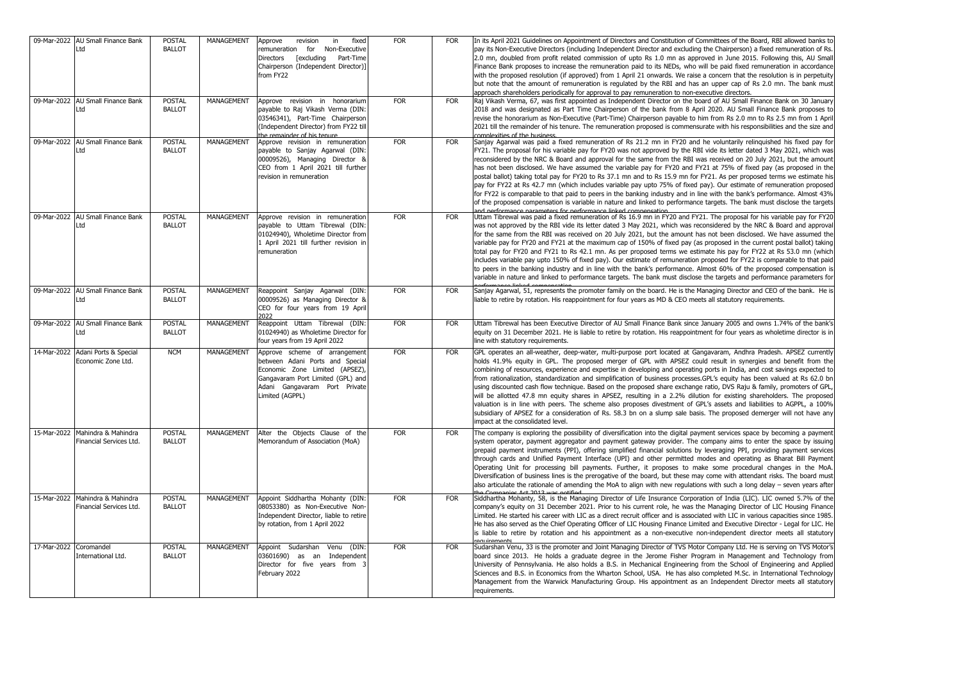|                        | 09-Mar-2022 AU Small Finance Bank<br>Ltd                   | <b>POSTAL</b><br><b>BALLOT</b> | MANAGEMENT | Approve<br>fixed<br>revision<br>in<br>for<br>Non-Executive<br>remuneration<br>Directors<br><b>Fexcluding</b><br>Part-Time<br>Chairperson (Independent Director)]<br>from FY22              | <b>FOR</b> | <b>FOR</b> | In its April 2021 Guidelines on Appointment of Directors and Constitution of Committees of the Board, RBI allowed banks to<br>pay its Non-Executive Directors (including Independent Director and excluding the Chairperson) a fixed remuneration of Rs.<br>2.0 mn, doubled from profit related commission of upto Rs 1.0 mn as approved in June 2015. Following this, AU Small<br>Finance Bank proposes to increase the remuneration paid to its NEDs, who will be paid fixed remuneration in accordance<br>with the proposed resolution (if approved) from 1 April 21 onwards. We raise a concern that the resolution is in perpetuity<br>but note that the amount of remuneration is regulated by the RBI and has an upper cap of Rs 2.0 mn. The bank must<br>approach shareholders periodically for approval to pay remuneration to non-executive directors.                                                                                                                                                                                                             |
|------------------------|------------------------------------------------------------|--------------------------------|------------|--------------------------------------------------------------------------------------------------------------------------------------------------------------------------------------------|------------|------------|------------------------------------------------------------------------------------------------------------------------------------------------------------------------------------------------------------------------------------------------------------------------------------------------------------------------------------------------------------------------------------------------------------------------------------------------------------------------------------------------------------------------------------------------------------------------------------------------------------------------------------------------------------------------------------------------------------------------------------------------------------------------------------------------------------------------------------------------------------------------------------------------------------------------------------------------------------------------------------------------------------------------------------------------------------------------------|
|                        | 09-Mar-2022 AU Small Finance Bank<br>Ltd                   | <b>POSTAL</b><br><b>BALLOT</b> | MANAGEMENT | Approve revision in honorarium<br>payable to Raj Vikash Verma (DIN:<br>03546341), Part-Time Chairperson<br>(Independent Director) from FY22 till<br>the remainder of his tenure            | <b>FOR</b> | <b>FOR</b> | Raj Vikash Verma, 67, was first appointed as Independent Director on the board of AU Small Finance Bank on 30 January<br>2018 and was designated as Part Time Chairperson of the bank from 8 April 2020. AU Small Finance Bank proposes to<br>revise the honorarium as Non-Executive (Part-Time) Chairperson payable to him from Rs 2.0 mn to Rs 2.5 mn from 1 April<br>2021 till the remainder of his tenure. The remuneration proposed is commensurate with his responsibilities and the size and<br>complexities of the business.                                                                                                                                                                                                                                                                                                                                                                                                                                                                                                                                         |
|                        | 09-Mar-2022 AU Small Finance Bank<br>Ltd                   | <b>POSTAL</b><br><b>BALLOT</b> | MANAGEMENT | Approve revision in remuneration<br>payable to Sanjay Agarwal (DIN:<br>00009526), Managing Director &<br>CEO from 1 April 2021 till further<br>revision in remuneration                    | <b>FOR</b> | <b>FOR</b> | Sanjay Agarwal was paid a fixed remuneration of Rs 21.2 mn in FY20 and he voluntarily relinquished his fixed pay for<br>FY21. The proposal for his variable pay for FY20 was not approved by the RBI vide its letter dated 3 May 2021, which was<br>reconsidered by the NRC & Board and approval for the same from the RBI was received on 20 July 2021, but the amount<br>has not been disclosed. We have assumed the variable pay for FY20 and FY21 at 75% of fixed pay (as proposed in the<br>postal ballot) taking total pay for FY20 to Rs 37.1 mn and to Rs 15.9 mn for FY21. As per proposed terms we estimate his<br>pay for FY22 at Rs 42.7 mn (which includes variable pay upto 75% of fixed pay). Our estimate of remuneration proposed<br>for FY22 is comparable to that paid to peers in the banking industry and in line with the bank's performance. Almost 43%<br>of the proposed compensation is variable in nature and linked to performance targets. The bank must disclose the targets<br>and norformanco naramotore for norformanco linkod componeation |
|                        | 09-Mar-2022 AU Small Finance Bank<br>Ltd                   | <b>POSTAL</b><br><b>BALLOT</b> | MANAGEMENT | Approve revision in remuneration<br>payable to Uttam Tibrewal (DIN:<br>01024940), Wholetime Director from<br>1 April 2021 till further revision in<br>remuneration                         | <b>FOR</b> | <b>FOR</b> | Uttam Tibrewal was paid a fixed remuneration of Rs 16.9 mn in FY20 and FY21. The proposal for his variable pay for FY20<br>was not approved by the RBI vide its letter dated 3 May 2021, which was reconsidered by the NRC & Board and approval<br>for the same from the RBI was received on 20 July 2021, but the amount has not been disclosed. We have assumed the<br>variable pay for FY20 and FY21 at the maximum cap of 150% of fixed pay (as proposed in the current postal ballot) taking<br>total pay for FY20 and FY21 to Rs 42.1 mn. As per proposed terms we estimate his pay for FY22 at Rs 53.0 mn (which<br>includes variable pay upto 150% of fixed pay). Our estimate of remuneration proposed for FY22 is comparable to that paid<br>to peers in the banking industry and in line with the bank's performance. Almost 60% of the proposed compensation is<br>variable in nature and linked to performance targets. The bank must disclose the targets and performance parameters for                                                                       |
|                        | 09-Mar-2022 AU Small Finance Bank<br>Ltd                   | <b>POSTAL</b><br><b>BALLOT</b> | MANAGEMENT | Reappoint Sanjay Agarwal (DIN:<br>00009526) as Managing Director &<br>CEO for four years from 19 April<br>2022                                                                             | <b>FOR</b> | <b>FOR</b> | Sanjay Agarwal, 51, represents the promoter family on the board. He is the Managing Director and CEO of the bank. He is<br>liable to retire by rotation. His reappointment for four years as MD & CEO meets all statutory requirements.                                                                                                                                                                                                                                                                                                                                                                                                                                                                                                                                                                                                                                                                                                                                                                                                                                      |
|                        | 09-Mar-2022 AU Small Finance Bank<br>Ltd                   | <b>POSTAL</b><br><b>BALLOT</b> | MANAGEMENT | Reappoint Uttam Tibrewal (DIN:<br>01024940) as Wholetime Director for<br>four years from 19 April 2022                                                                                     | <b>FOR</b> | <b>FOR</b> | Uttam Tibrewal has been Executive Director of AU Small Finance Bank since January 2005 and owns 1.74% of the bank's<br>equity on 31 December 2021. He is liable to retire by rotation. His reappointment for four years as wholetime director is in<br>line with statutory requirements.                                                                                                                                                                                                                                                                                                                                                                                                                                                                                                                                                                                                                                                                                                                                                                                     |
|                        | 14-Mar-2022 Adani Ports & Special<br>Economic Zone Ltd.    | <b>NCM</b>                     | MANAGEMENT | Approve scheme of arrangement<br>between Adani Ports and Special<br>Economic Zone Limited (APSEZ)<br>Gangavaram Port Limited (GPL) and<br>Adani Gangavaram Port Private<br>Limited (AGPPL) | <b>FOR</b> | <b>FOR</b> | GPL operates an all-weather, deep-water, multi-purpose port located at Gangavaram, Andhra Pradesh. APSEZ currently<br>holds 41.9% equity in GPL. The proposed merger of GPL with APSEZ could result in synergies and benefit from the<br>combining of resources, experience and expertise in developing and operating ports in India, and cost savings expected to<br>from rationalization, standardization and simplification of business processes.GPL's equity has been valued at Rs 62.0 bn<br>using discounted cash flow technique. Based on the proposed share exchange ratio, DVS Raju & family, promoters of GPL<br>will be allotted 47.8 mn equity shares in APSEZ, resulting in a 2.2% dilution for existing shareholders. The proposed<br>valuation is in line with peers. The scheme also proposes divestment of GPL's assets and liabilities to AGPPL, a 100%<br>subsidiary of APSEZ for a consideration of Rs. 58.3 bn on a slump sale basis. The proposed demerger will not have any<br>impact at the consolidated level.                                     |
|                        | 15-Mar-2022 Mahindra & Mahindra<br>Financial Services Ltd. | <b>POSTAL</b><br><b>BALLOT</b> | MANAGEMENT | Alter the Objects Clause of the<br>Memorandum of Association (MoA)                                                                                                                         | <b>FOR</b> | <b>FOR</b> | The company is exploring the possibility of diversification into the digital payment services space by becoming a payment<br>system operator, payment aggregator and payment gateway provider. The company aims to enter the space by issuing<br>prepaid payment instruments (PPI), offering simplified financial solutions by leveraging PPI, providing payment services<br>through cards and Unified Payment Interface (UPI) and other permitted modes and operating as Bharat Bill Payment<br>Operating Unit for processing bill payments. Further, it proposes to make some procedural changes in the MoA<br>Diversification of business lines is the prerogative of the board, but these may come with attendant risks. The board must<br>also articulate the rationale of amending the MoA to align with new regulations with such a long delay – seven years after<br>ha Campanias Act 7012 was natified                                                                                                                                                              |
|                        | 15-Mar-2022 Mahindra & Mahindra<br>Financial Services Ltd. | <b>POSTAL</b><br><b>BALLOT</b> | MANAGEMENT | Appoint Siddhartha Mohanty (DIN:<br>08053380) as Non-Executive Non-<br>Independent Director, liable to retire<br>by rotation, from 1 April 2022                                            | <b>FOR</b> | <b>FOR</b> | Siddhartha Mohanty, 58, is the Managing Director of Life Insurance Corporation of India (LIC). LIC owned 5.7% of the<br>company's equity on 31 December 2021. Prior to his current role, he was the Managing Director of LIC Housing Finance<br>Limited. He started his career with LIC as a direct recruit officer and is associated with LIC in various capacities since 1985.<br>He has also served as the Chief Operating Officer of LIC Housing Finance Limited and Executive Director - Legal for LIC. He<br>is liable to retire by rotation and his appointment as a non-executive non-independent director meets all statutory                                                                                                                                                                                                                                                                                                                                                                                                                                       |
| 17-Mar-2022 Coromandel | International Ltd.                                         | <b>POSTAL</b><br><b>BALLOT</b> | MANAGEMENT | Appoint Sudarshan<br>Venu (DIN:<br>03601690) as an Independent<br>Director for five years from<br>February 2022                                                                            | <b>FOR</b> | <b>FOR</b> | Sudarshan Venu, 33 is the promoter and Joint Managing Director of TVS Motor Company Ltd. He is serving on TVS Motor's<br>board since 2013. He holds a graduate degree in the Jerome Fisher Program in Management and Technology from<br>University of Pennsylvania. He also holds a B.S. in Mechanical Engineering from the School of Engineering and Applied<br>Sciences and B.S. in Economics from the Wharton School, USA. He has also completed M.Sc. in International Technology<br>Management from the Warwick Manufacturing Group. His appointment as an Independent Director meets all statutory<br>requirements.                                                                                                                                                                                                                                                                                                                                                                                                                                                    |